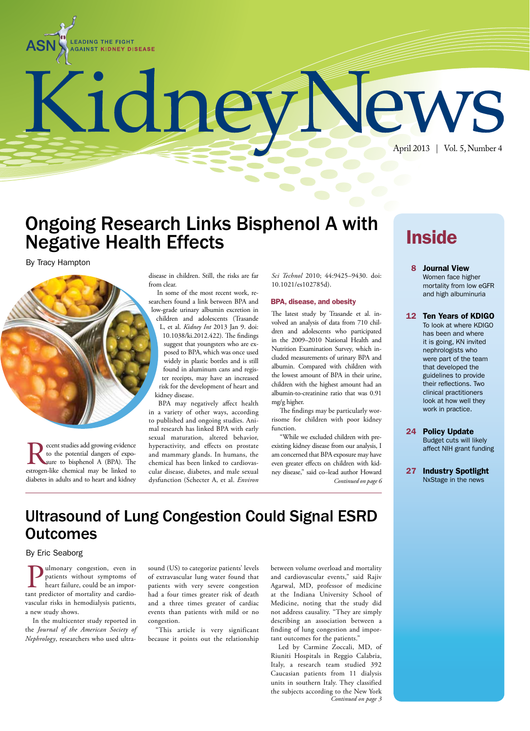

# KidneyNews April 2013 | Vol. 5, Number 4

## Ongoing Research Links Bisphenol A with Negative Health Effects

By Tracy Hampton

disease in children. Still, the risks are far from clear. In some of the most recent work, re-

searchers found a link between BPA and low-grade urinary albumin excretion in children and adolescents (Trasande L, et al. *Kidney Int* 2013 Jan 9. doi:

10.1038/ki.2012.422). The findings suggest that youngsters who are exposed to BPA, which was once used widely in plastic bottles and is still found in aluminum cans and register receipts, may have an increased risk for the development of heart and kidney disease.

BPA may negatively affect health in a variety of other ways, according to published and ongoing studies. Animal research has linked BPA with early sexual maturation, altered behavior, hyperactivity, and effects on prostate and mammary glands. In humans, the chemical has been linked to cardiovascular disease, diabetes, and male sexual dysfunction (Schecter A, et al. *Environ* 

*Sci Technol* 2010; 44:9425–9430. doi: 10.1021/es102785d).

#### BPA, disease, and obesity

The latest study by Trasande et al. involved an analysis of data from 710 children and adolescents who participated in the 2009–2010 National Health and Nutrition Examination Survey, which included measurements of urinary BPA and albumin. Compared with children with the lowest amount of BPA in their urine, children with the highest amount had an albumin-to-creatinine ratio that was 0.91 mg/g higher.

The findings may be particularly worrisome for children with poor kidney function.

"While we excluded children with preexisting kidney disease from our analysis, I am concerned that BPA exposure may have even greater effects on children with kidney disease," said co–lead author Howard *Continued on page 6*

# **Inside**

 8 Journal View Women face higher mortality from low eGFR and high albuminuria

#### 12 Ten Years of KDIGO

To look at where KDIGO has been and where it is going, KN invited nephrologists who were part of the team that developed the guidelines to provide their reflections. Two clinical practitioners look at how well they work in practice.

- 24 Policy Update Budget cuts will likely affect NIH grant funding
- 27 Industry Spotlight NxStage in the news

### Ultrasound of Lung Congestion Could Signal ESRD **Outcomes**

#### By Eric Seaborg

ulmonary congestion, even in patients without symptoms of heart failure, could be an important predictor of mortality and cardiovascular risks in hemodialysis patients, a new study shows.

**Recent studies add growing evidence** to the potential dangers of exposure to bisphenol A (BPA). The estrogen-like chemical may be linked to to the potential dangers of exposure to bisphenol A (BPA). The

diabetes in adults and to heart and kidney

In the multicenter study reported in the *Journal of the American Society of Nephrology*, researchers who used ultrasound (US) to categorize patients' levels of extravascular lung water found that patients with very severe congestion had a four times greater risk of death and a three times greater of cardiac events than patients with mild or no congestion.

"This article is very significant because it points out the relationship

between volume overload and mortality and cardiovascular events," said Rajiv Agarwal, MD, professor of medicine at the Indiana University School of Medicine, noting that the study did not address causality. "They are simply describing an association between a finding of lung congestion and important outcomes for the patients."

Led by Carmine Zoccali, MD, of Riuniti Hospitals in Reggio Calabria, Italy, a research team studied 392 Caucasian patients from 11 dialysis units in southern Italy. They classified the subjects according to the New York *Continued on page 3*